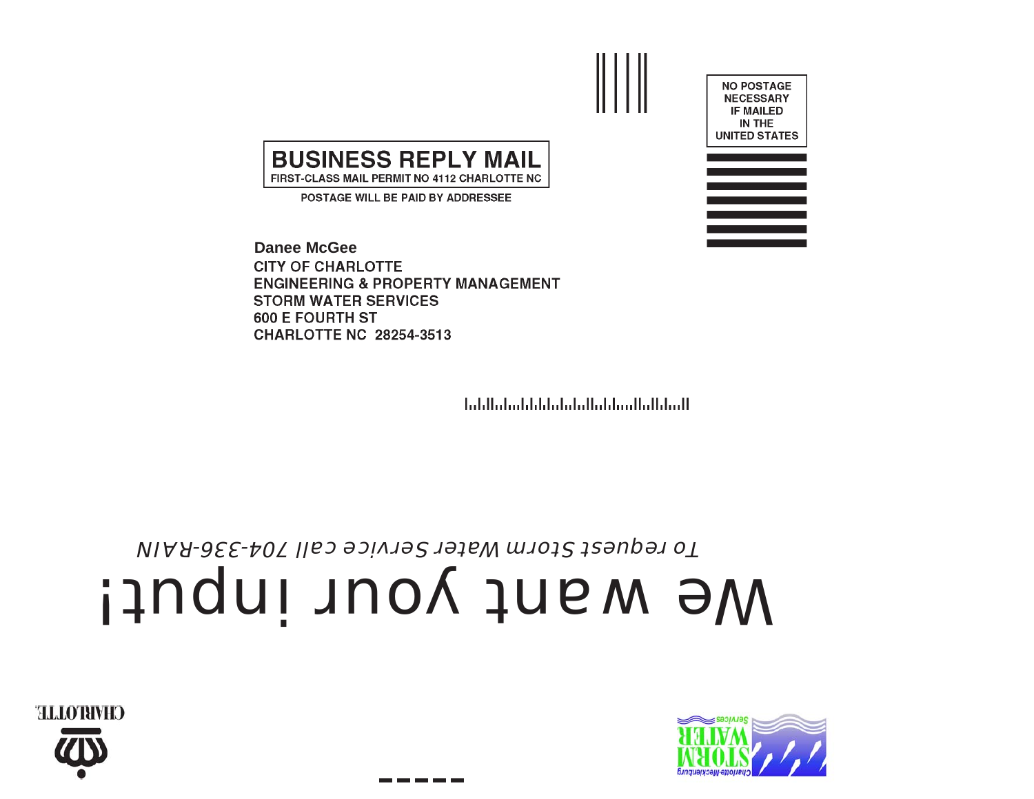



## We want your input!

To request Storm Water Service call 704-336-RAIN

المباياليناليسانانيا ببلينا بابانا بابتنا بالبابيل

**Danee McGeeCITY OF CHARLOTTE ENGINEERING & PROPERTY MANAGEMENT STORM WATER SERVICES 600 E FOURTH ST CHARLOTTE NC 28254-3513** 

**BUSINESS REPLY MAIL** FIRST-CLASS MAIL PERMIT NO 4112 CHARLOTTE NC POSTAGE WILL BE PAID BY ADDRESSEE